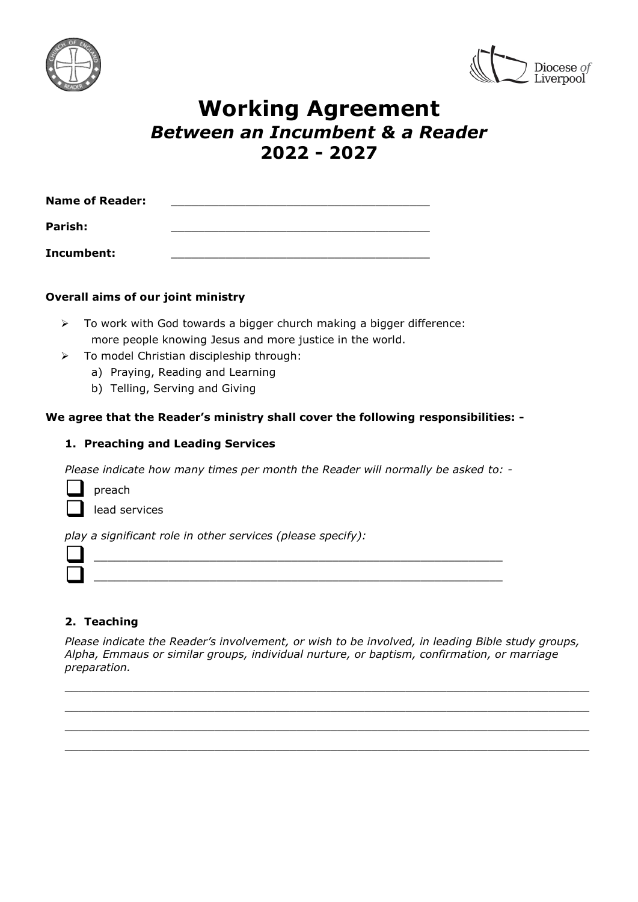



# **Working Agreement** *Between an Incumbent & a Reader* **2022 - 2027**

| <b>Name of Reader:</b> |  |
|------------------------|--|
| Parish:                |  |
| Incumbent:             |  |

## **Overall aims of our joint ministry**

- $\triangleright$  To work with God towards a bigger church making a bigger difference: more people knowing Jesus and more justice in the world.
- $\triangleright$  To model Christian discipleship through:
	- a) Praying, Reading and Learning
	- b) Telling, Serving and Giving

## **We agree that the Reader's ministry shall cover the following responsibilities: -**

## **1. Preaching and Leading Services**

*Please indicate how many times per month the Reader will normally be asked to: -*

preach

lead services

*play a significant role in other services (please specify):*

 $\mathcal{L}_\text{max} = \frac{1}{2} \sum_{i=1}^{n} \frac{1}{2} \sum_{i=1}^{n} \frac{1}{2} \sum_{i=1}^{n} \frac{1}{2} \sum_{i=1}^{n} \frac{1}{2} \sum_{i=1}^{n} \frac{1}{2} \sum_{i=1}^{n} \frac{1}{2} \sum_{i=1}^{n} \frac{1}{2} \sum_{i=1}^{n} \frac{1}{2} \sum_{i=1}^{n} \frac{1}{2} \sum_{i=1}^{n} \frac{1}{2} \sum_{i=1}^{n} \frac{1}{2} \sum_{i=1}^{n} \frac{1$ 

# **2. Teaching**

*Please indicate the Reader's involvement, or wish to be involved, in leading Bible study groups, Alpha, Emmaus or similar groups, individual nurture, or baptism, confirmation, or marriage preparation.*

\_\_\_\_\_\_\_\_\_\_\_\_\_\_\_\_\_\_\_\_\_\_\_\_\_\_\_\_\_\_\_\_\_\_\_\_\_\_\_\_\_\_\_\_\_\_\_\_\_\_\_\_\_\_\_\_\_\_\_\_\_\_\_\_\_\_\_\_\_\_\_\_\_\_\_\_\_ \_\_\_\_\_\_\_\_\_\_\_\_\_\_\_\_\_\_\_\_\_\_\_\_\_\_\_\_\_\_\_\_\_\_\_\_\_\_\_\_\_\_\_\_\_\_\_\_\_\_\_\_\_\_\_\_\_\_\_\_\_\_\_\_\_\_\_\_\_\_\_\_\_\_\_\_\_ \_\_\_\_\_\_\_\_\_\_\_\_\_\_\_\_\_\_\_\_\_\_\_\_\_\_\_\_\_\_\_\_\_\_\_\_\_\_\_\_\_\_\_\_\_\_\_\_\_\_\_\_\_\_\_\_\_\_\_\_\_\_\_\_\_\_\_\_\_\_\_\_\_\_\_\_\_  $\_$  ,  $\_$  ,  $\_$  ,  $\_$  ,  $\_$  ,  $\_$  ,  $\_$  ,  $\_$  ,  $\_$  ,  $\_$  ,  $\_$  ,  $\_$  ,  $\_$  ,  $\_$  ,  $\_$  ,  $\_$  ,  $\_$  ,  $\_$  ,  $\_$  ,  $\_$  ,  $\_$  ,  $\_$  ,  $\_$  ,  $\_$  ,  $\_$  ,  $\_$  ,  $\_$  ,  $\_$  ,  $\_$  ,  $\_$  ,  $\_$  ,  $\_$  ,  $\_$  ,  $\_$  ,  $\_$  ,  $\_$  ,  $\_$  ,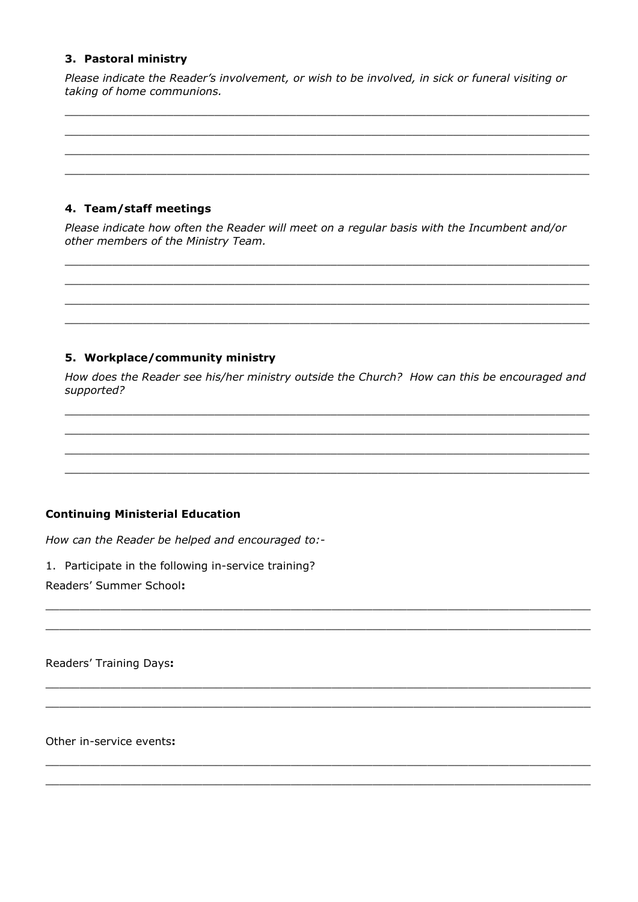## 3. Pastoral ministry

Please indicate the Reader's involvement, or wish to be involved, in sick or funeral visiting or taking of home communions.

## 4. Team/staff meetings

Please indicate how often the Reader will meet on a regular basis with the Incumbent and/or other members of the Ministry Team.

## 5. Workplace/community ministry

How does the Reader see his/her ministry outside the Church? How can this be encouraged and supported?

# **Continuing Ministerial Education**

How can the Reader be helped and encouraged to:-

1. Participate in the following in-service training?

Readers' Summer School:

Readers' Training Days:

Other in-service events: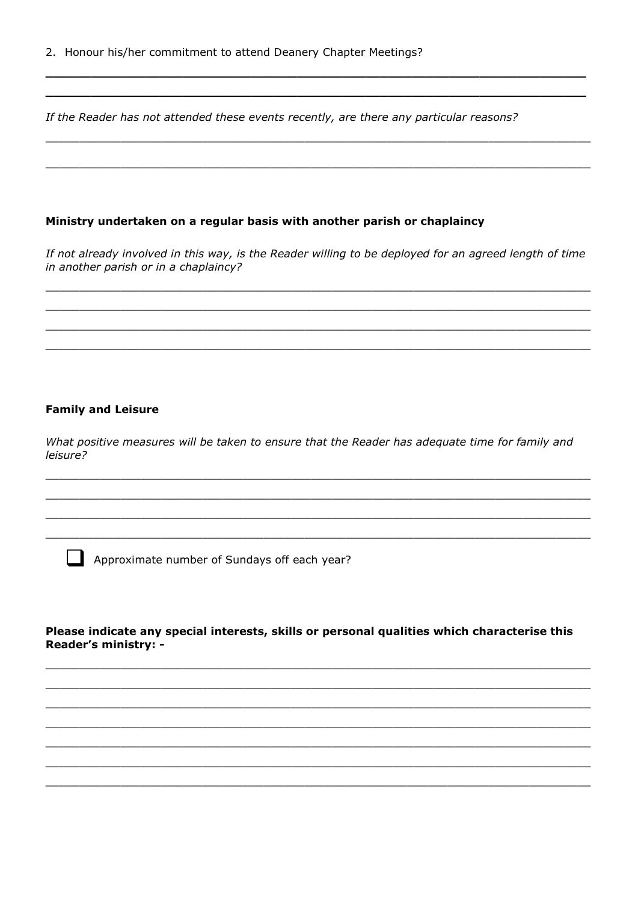If the Reader has not attended these events recently, are there any particular reasons?

#### Ministry undertaken on a regular basis with another parish or chaplaincy

If not already involved in this way, is the Reader willing to be deployed for an agreed length of time in another parish or in a chaplaincy?

#### **Family and Leisure**

What positive measures will be taken to ensure that the Reader has adequate time for family and leisure?

Approximate number of Sundays off each year?

#### Please indicate any special interests, skills or personal qualities which characterise this Reader's ministry: -